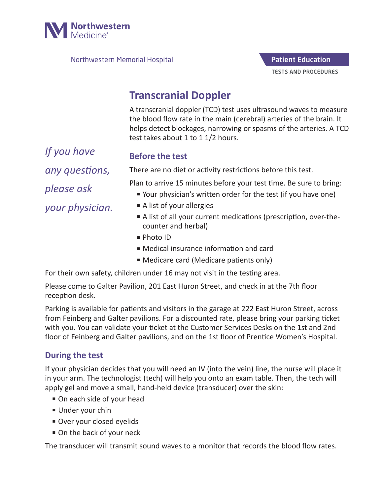

Northwestern Memorial Hospital

TESTS AND PROCEDURES Patient Education

## **Transcranial Doppler**

A transcranial doppler (TCD) test uses ultrasound waves to measure the blood flow rate in the main (cerebral) arteries of the brain. It helps detect blockages, narrowing or spasms of the arteries. A TCD test takes about 1 to 1 1/2 hours.

*If you have any questions, please ask your physician.*

## **Before the test**

There are no diet or activity restrictions before this test.

Plan to arrive 15 minutes before your test time. Be sure to bring:

- Your physician's written order for the test (if you have one)
- A list of your allergies
- A list of all your current medications (prescription, over-thecounter and herbal)
- Photo ID
- Medical insurance information and card
- Medicare card (Medicare patients only)

For their own safety, children under 16 may not visit in the testing area.

Please come to Galter Pavilion, 201 East Huron Street, and check in at the 7th floor reception desk.

Parking is available for patients and visitors in the garage at 222 East Huron Street, across from Feinberg and Galter pavilions. For a discounted rate, please bring your parking ticket with you. You can validate your ticket at the Customer Services Desks on the 1st and 2nd floor of Feinberg and Galter pavilions, and on the 1st floor of Prentice Women's Hospital.

## **During the test**

If your physician decides that you will need an IV (into the vein) line, the nurse will place it in your arm. The technologist (tech) will help you onto an exam table. Then, the tech will apply gel and move a small, hand-held device (transducer) over the skin:

- On each side of your head
- Under your chin
- Over your closed eyelids
- On the back of your neck

The transducer will transmit sound waves to a monitor that records the blood flow rates.